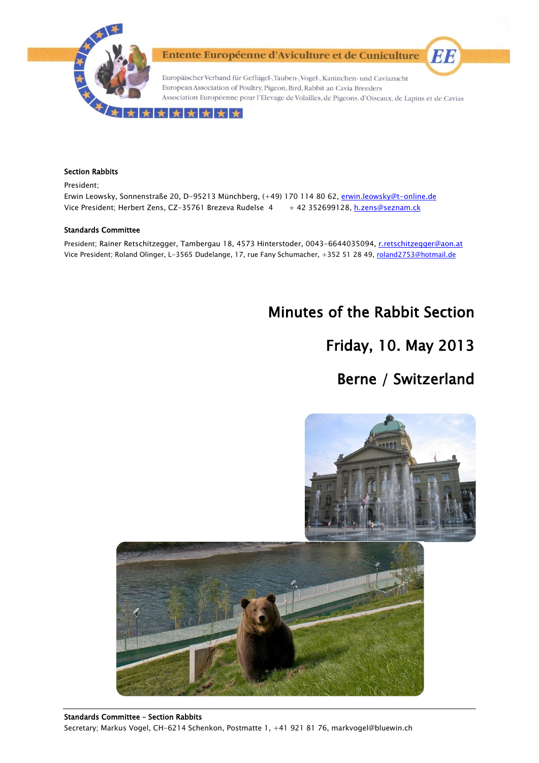

Entente Européenne d'Aviculture et de Cuniculture

Europäischer Verband für Geflügel-, Tauben-, Vogel-, Kaninchen- und Caviazucht European Association of Poultry, Pigeon, Bird, Rabbit an Cavia Breeders Association Européenne pour l'Elevage de Volailles, de Pigeons, d'Oiseaux, de Lapins et de Cavias

#### ★★★★★★

#### Section Rabbits

President;

Erwin Leowsky, Sonnenstraße 20, D-95213 Münchberg, (+49) 170 114 80 62, erwin.leowsky@t-online.de Vice President; Herbert Zens, CZ-35761 Brezeva Rudelse 4 + 42 352699128, h.zens@seznam.ck

#### Standards Committee

President; Rainer Retschitzegger, Tambergau 18, 4573 Hinterstoder, 0043-6644035094, r.retschitzegger@aon.at Vice President; Roland Olinger, L-3565 Dudelange, 17, rue Fany Schumacher, +352 51 28 49, roland2753@hotmail.de

# Minutes of the Rabbit Section

# Friday, 10. May 2013

## Berne / Switzerland

EE



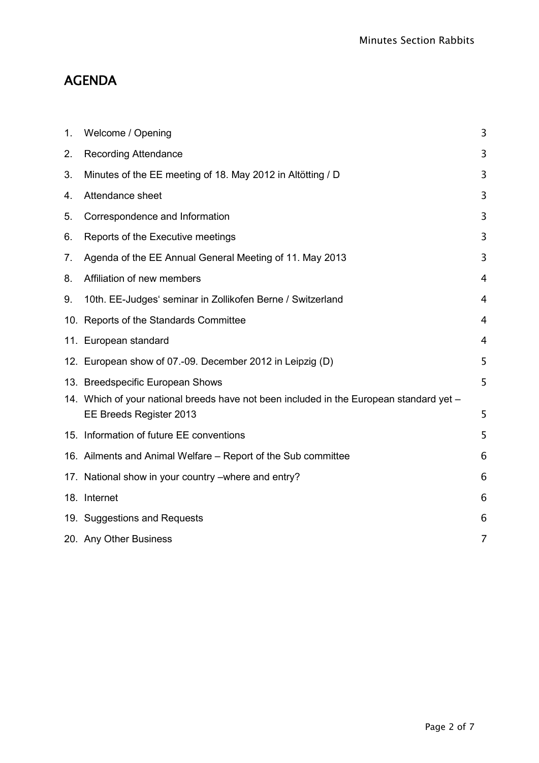# AGENDA

| 1. | Welcome / Opening                                                                                                  | 3 |
|----|--------------------------------------------------------------------------------------------------------------------|---|
| 2. | <b>Recording Attendance</b>                                                                                        | 3 |
| 3. | Minutes of the EE meeting of 18. May 2012 in Altötting / D                                                         | 3 |
| 4. | Attendance sheet                                                                                                   | 3 |
| 5. | Correspondence and Information                                                                                     | 3 |
| 6. | Reports of the Executive meetings                                                                                  | 3 |
| 7. | Agenda of the EE Annual General Meeting of 11. May 2013                                                            | 3 |
| 8. | Affiliation of new members                                                                                         | 4 |
| 9. | 10th. EE-Judges' seminar in Zollikofen Berne / Switzerland                                                         | 4 |
|    | 10. Reports of the Standards Committee                                                                             | 4 |
|    | 11. European standard                                                                                              | 4 |
|    | 12. European show of 07.-09. December 2012 in Leipzig (D)                                                          | 5 |
|    | 13. Breedspecific European Shows                                                                                   | 5 |
|    | 14. Which of your national breeds have not been included in the European standard yet -<br>EE Breeds Register 2013 | 5 |
|    | 15. Information of future EE conventions                                                                           | 5 |
|    | 16. Ailments and Animal Welfare – Report of the Sub committee                                                      | 6 |
|    | 17. National show in your country -where and entry?                                                                | 6 |
|    | 18. Internet                                                                                                       | 6 |
|    | 19. Suggestions and Requests                                                                                       | 6 |
|    | 20. Any Other Business                                                                                             | 7 |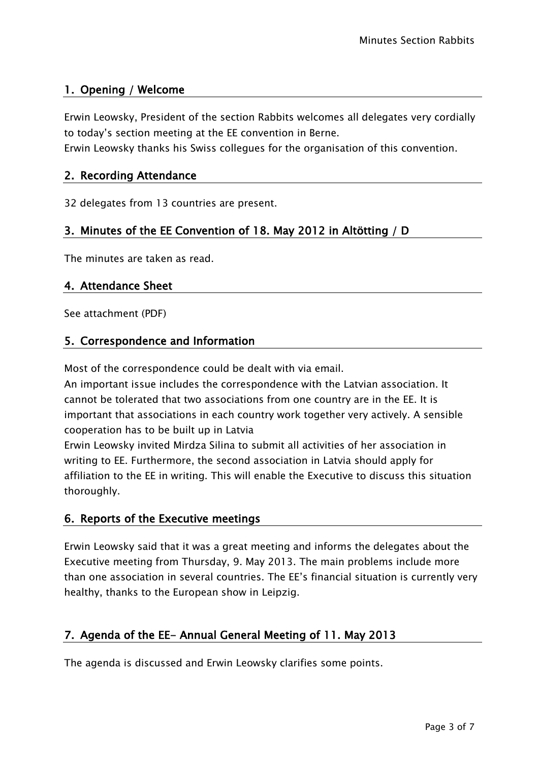## <span id="page-2-0"></span>1. Opening / Welcome

Erwin Leowsky, President of the section Rabbits welcomes all delegates very cordially to today's section meeting at the EE convention in Berne.

<span id="page-2-1"></span>Erwin Leowsky thanks his Swiss collegues for the organisation of this convention.

## 2. Recording Attendance

<span id="page-2-2"></span>32 delegates from 13 countries are present.

## 3. Minutes of the EE Convention of 18. May 2012 in Altötting / D

<span id="page-2-3"></span>The minutes are taken as read.

#### 4. Attendance Sheet

<span id="page-2-4"></span>See attachment (PDF)

#### 5. Correspondence and Information

Most of the correspondence could be dealt with via email.

An important issue includes the correspondence with the Latvian association. It cannot be tolerated that two associations from one country are in the EE. It is important that associations in each country work together very actively. A sensible cooperation has to be built up in Latvia

Erwin Leowsky invited Mirdza Silina to submit all activities of her association in writing to EE. Furthermore, the second association in Latvia should apply for affiliation to the EE in writing. This will enable the Executive to discuss this situation thoroughly.

## <span id="page-2-5"></span>6. Reports of the Executive meetings

Erwin Leowsky said that it was a great meeting and informs the delegates about the Executive meeting from Thursday, 9. May 2013. The main problems include more than one association in several countries. The EE's financial situation is currently very healthy, thanks to the European show in Leipzig.

## <span id="page-2-6"></span>7. Agenda of the EE- Annual General Meeting of 11. May 2013

The agenda is discussed and Erwin Leowsky clarifies some points.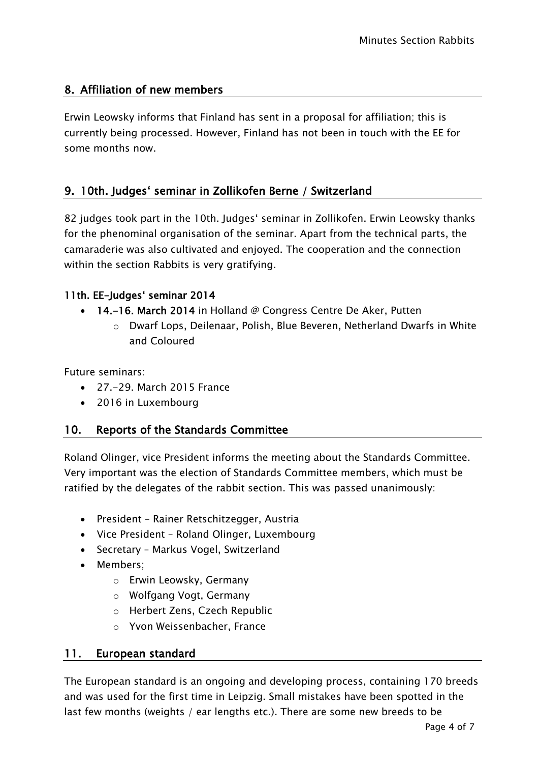## <span id="page-3-0"></span>8. Affiliation of new members

Erwin Leowsky informs that Finland has sent in a proposal for affiliation; this is currently being processed. However, Finland has not been in touch with the EE for some months now.

## <span id="page-3-1"></span>9. 10th. Judges' seminar in Zollikofen Berne / Switzerland

82 judges took part in the 10th. Judges' seminar in Zollikofen. Erwin Leowsky thanks for the phenominal organisation of the seminar. Apart from the technical parts, the camaraderie was also cultivated and enjoyed. The cooperation and the connection within the section Rabbits is very gratifying.

## 11th. EE-Judges' seminar 2014

- 14.–16. March 2014 in Holland  $\oslash$  Congress Centre De Aker, Putten
	- o Dwarf Lops, Deilenaar, Polish, Blue Beveren, Netherland Dwarfs in White and Coloured

Future seminars:

- 27.-29. March 2015 France
- 2016 in Luxembourg

## <span id="page-3-2"></span>10. Reports of the Standards Committee

Roland Olinger, vice President informs the meeting about the Standards Committee. Very important was the election of Standards Committee members, which must be ratified by the delegates of the rabbit section. This was passed unanimously:

- President Rainer Retschitzegger, Austria
- Vice President Roland Olinger, Luxembourg
- Secretary Markus Vogel, Switzerland
- Members:
	- o Erwin Leowsky, Germany
	- o Wolfgang Vogt, Germany
	- o Herbert Zens, Czech Republic
	- o Yvon Weissenbacher, France

#### <span id="page-3-3"></span>11. European standard

The European standard is an ongoing and developing process, containing 170 breeds and was used for the first time in Leipzig. Small mistakes have been spotted in the last few months (weights / ear lengths etc.). There are some new breeds to be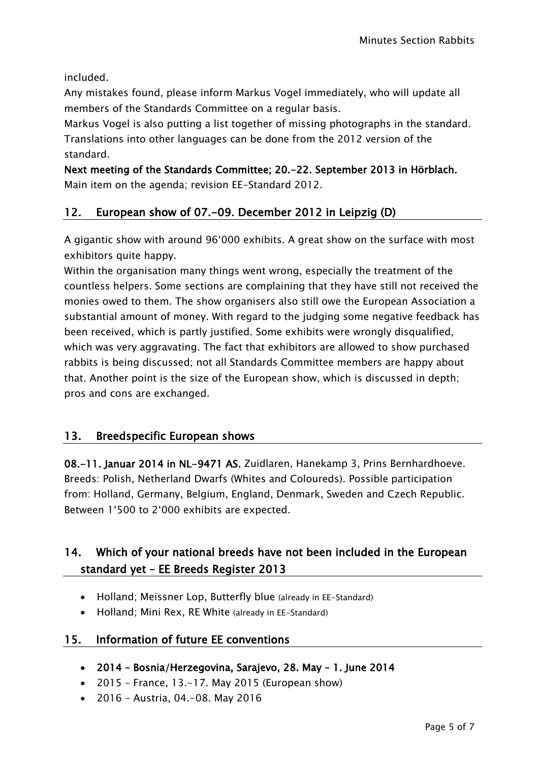included.

Any mistakes found, please inform Markus Vogel immediately, who will update all members of the Standards Committee on a regular basis.

Markus Vogel is also putting a list together of missing photographs in the standard. Translations into other languages can be done from the 2012 version of the standard.

Next meeting of the Standards Committee; 20.-22. September 2013 in Hörblach. Main item on the agenda; revision EE-Standard 2012.

## <span id="page-4-0"></span>12. European show of 07.-09. December 2012 in Leipzig (D)

A gigantic show with around 96'000 exhibits. A great show on the surface with most exhibitors quite happy.

Within the organisation many things went wrong, especially the treatment of the countless helpers. Some sections are complaining that they have still not received the monies owed to them. The show organisers also still owe the European Association a substantial amount of money. With regard to the judging some negative feedback has been received, which is partly justified. Some exhibits were wrongly disqualified, which was very aggravating. The fact that exhibitors are allowed to show purchased rabbits is being discussed; not all Standards Committee members are happy about that. Another point is the size of the European show, which is discussed in depth; pros and cons are exchanged.

## <span id="page-4-1"></span>13. Breedspecific European shows

08.-11. Januar 2014 in NL-9471 AS, Zuidlaren, Hanekamp 3, Prins Bernhardhoeve. Breeds: Polish, Netherland Dwarfs (Whites and Coloureds). Possible participation from: Holland, Germany, Belgium, England, Denmark, Sweden and Czech Republic. Between 1'500 to 2'000 exhibits are expected.

## <span id="page-4-2"></span>14. Which of your national breeds have not been included in the European standard yet – EE Breeds Register 2013

- Holland; Meissner Lop, Butterfly blue (already in EE-Standard)
- Holland: Mini Rex, RE White (already in EE-Standard)

## <span id="page-4-3"></span>15. Information of future EE conventions

- 2014 Bosnia/Herzegovina, Sarajevo, 28. May 1. June 2014
- $\bullet$  2015 France, 13.–17. May 2015 (European show)
- 2016 Austria, 04.-08. May 2016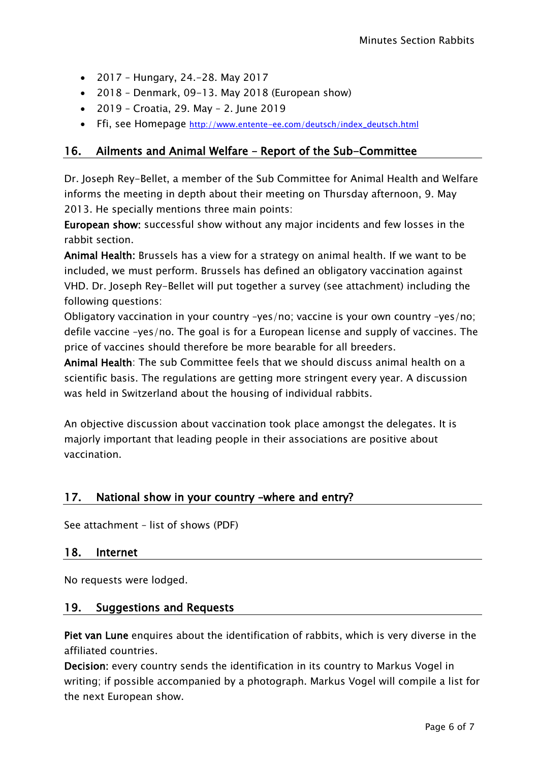- 2017 Hungary, 24.-28. May 2017
- 2018 Denmark, 09-13. May 2018 (European show)
- 2019 Croatia, 29. May 2. June 2019
- Ffi, see Homepage [http://www.entente-ee.com/deutsch/index\\_deutsch.html](http://www.entente-ee.com/deutsch/index_deutsch.html)

### <span id="page-5-0"></span>16. Ailments and Animal Welfare – Report of the Sub-Committee

Dr. Joseph Rey-Bellet, a member of the Sub Committee for Animal Health and Welfare informs the meeting in depth about their meeting on Thursday afternoon, 9. May 2013. He specially mentions three main points:

European show: successful show without any major incidents and few losses in the rabbit section.

Animal Health: Brussels has a view for a strategy on animal health. If we want to be included, we must perform. Brussels has defined an obligatory vaccination against VHD. Dr. Joseph Rey-Bellet will put together a survey (see attachment) including the following questions:

Obligatory vaccination in your country –yes/no; vaccine is your own country –yes/no; defile vaccine –yes/no. The goal is for a European license and supply of vaccines. The price of vaccines should therefore be more bearable for all breeders.

Animal Health: The sub Committee feels that we should discuss animal health on a scientific basis. The regulations are getting more stringent every year. A discussion was held in Switzerland about the housing of individual rabbits.

An objective discussion about vaccination took place amongst the delegates. It is majorly important that leading people in their associations are positive about vaccination.

## <span id="page-5-1"></span>17. National show in your country –where and entry?

<span id="page-5-2"></span>See attachment – list of shows (PDF)

#### 18. Internet

<span id="page-5-3"></span>No requests were lodged.

#### 19. Suggestions and Requests

Piet van Lune enquires about the identification of rabbits, which is very diverse in the affiliated countries.

Decision: every country sends the identification in its country to Markus Vogel in writing; if possible accompanied by a photograph. Markus Vogel will compile a list for the next European show.